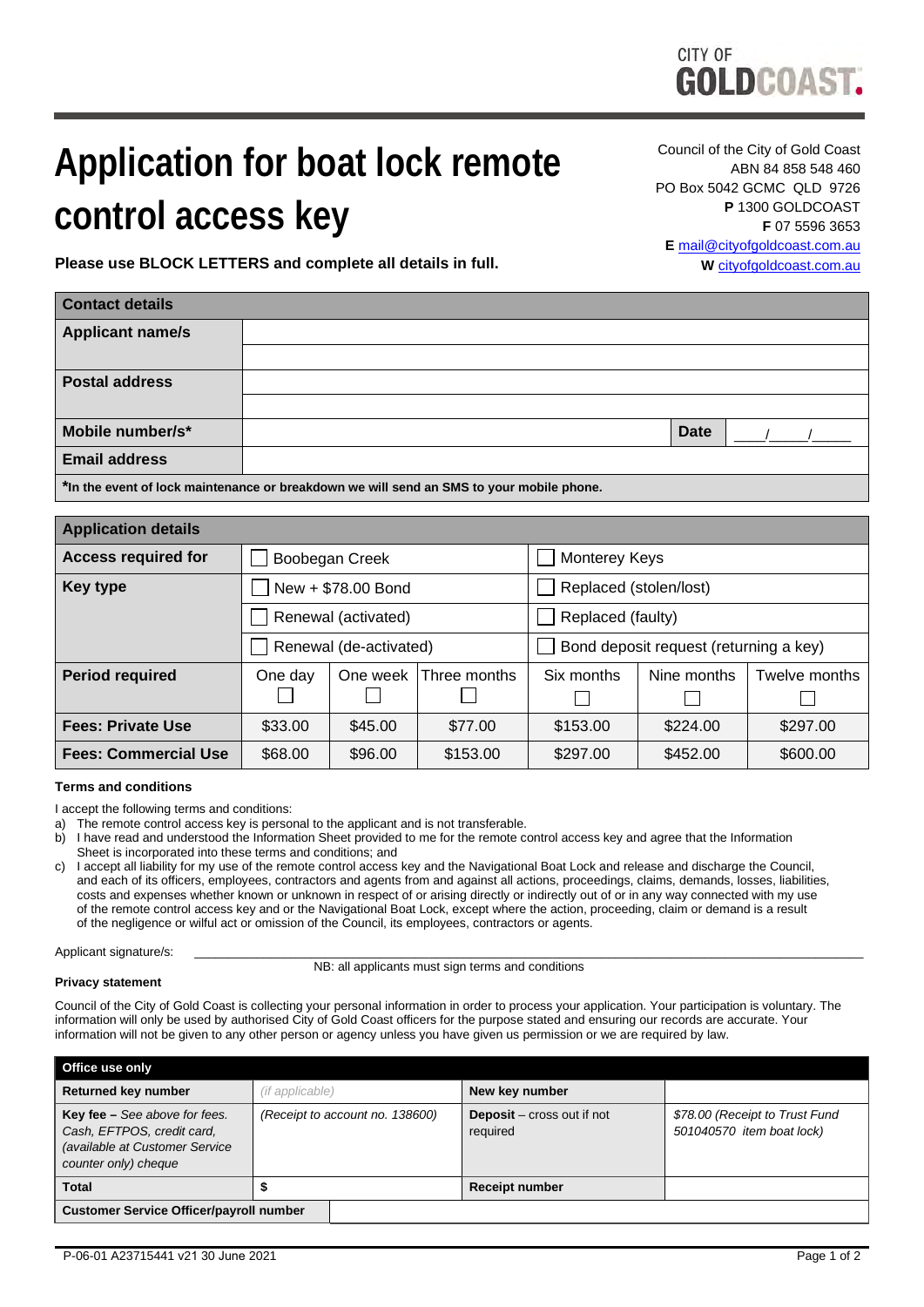

# **Application for boat lock remote control access key**

Council of the City of Gold Coast ABN 84 858 548 460 PO Box 5042 GCMC QLD 9726 **P** 1300 GOLDCOAST **F** 07 5596 3653 **E** [mail@cityofgoldcoast.com.au](mailto:mail@goldcoast.qld.gov.au) **W** [cityofgoldcoast.com.au](http://www.goldcoast.qld.gov.au/)

**Please use BLOCK LETTERS and complete all details in full.**

| <b>Contact details</b>                                                                   |  |      |  |
|------------------------------------------------------------------------------------------|--|------|--|
| <b>Applicant name/s</b>                                                                  |  |      |  |
|                                                                                          |  |      |  |
| <b>Postal address</b>                                                                    |  |      |  |
|                                                                                          |  |      |  |
| Mobile number/s*                                                                         |  | Date |  |
| <b>Email address</b>                                                                     |  |      |  |
| *In the event of lock maintenance or breakdown we will send an SMS to your mobile phone. |  |      |  |

| <b>Application details</b>  |                        |          |              |                                        |             |               |
|-----------------------------|------------------------|----------|--------------|----------------------------------------|-------------|---------------|
| <b>Access required for</b>  | Boobegan Creek         |          |              | Monterey Keys                          |             |               |
| <b>Key type</b>             | New + \$78.00 Bond     |          |              | Replaced (stolen/lost)                 |             |               |
|                             | Renewal (activated)    |          |              | Replaced (faulty)                      |             |               |
|                             | Renewal (de-activated) |          |              | Bond deposit request (returning a key) |             |               |
| <b>Period required</b>      | One day                | One week | Three months | Six months                             | Nine months | Twelve months |
|                             |                        |          |              |                                        |             |               |
| <b>Fees: Private Use</b>    | \$33.00                | \$45.00  | \$77.00      | \$153.00                               | \$224.00    | \$297.00      |
| <b>Fees: Commercial Use</b> | \$68.00                | \$96.00  | \$153.00     | \$297.00                               | \$452.00    | \$600.00      |

## **Terms and conditions**

I accept the following terms and conditions:

- a) The remote control access key is personal to the applicant and is not transferable.
- b) I have read and understood the Information Sheet provided to me for the remote control access key and agree that the Information Sheet is incorporated into these terms and conditions; and
- c) I accept all liability for my use of the remote control access key and the Navigational Boat Lock and release and discharge the Council, and each of its officers, employees, contractors and agents from and against all actions, proceedings, claims, demands, losses, liabilities, costs and expenses whether known or unknown in respect of or arising directly or indirectly out of or in any way connected with my use of the remote control access key and or the Navigational Boat Lock, except where the action, proceeding, claim or demand is a result of the negligence or wilful act or omission of the Council, its employees, contractors or agents.

Applicant signature/s:

NB: all applicants must sign terms and conditions

## **Privacy statement**

Council of the City of Gold Coast is collecting your personal information in order to process your application. Your participation is voluntary. The information will only be used by authorised City of Gold Coast officers for the purpose stated and ensuring our records are accurate. Your information will not be given to any other person or agency unless you have given us permission or we are required by law.

| Office use only                                                                                                       |                                 |                                               |                                                             |
|-----------------------------------------------------------------------------------------------------------------------|---------------------------------|-----------------------------------------------|-------------------------------------------------------------|
| Returned key number                                                                                                   | (if applicable)                 | New key number                                |                                                             |
| Key fee - See above for fees.<br>Cash, EFTPOS, credit card,<br>(available at Customer Service<br>counter only) cheque | (Receipt to account no. 138600) | <b>Deposit</b> – cross out if not<br>required | \$78.00 (Receipt to Trust Fund<br>501040570 item boat lock) |
| <b>Total</b>                                                                                                          |                                 | <b>Receipt number</b>                         |                                                             |
| <b>Customer Service Officer/payroll number</b>                                                                        |                                 |                                               |                                                             |